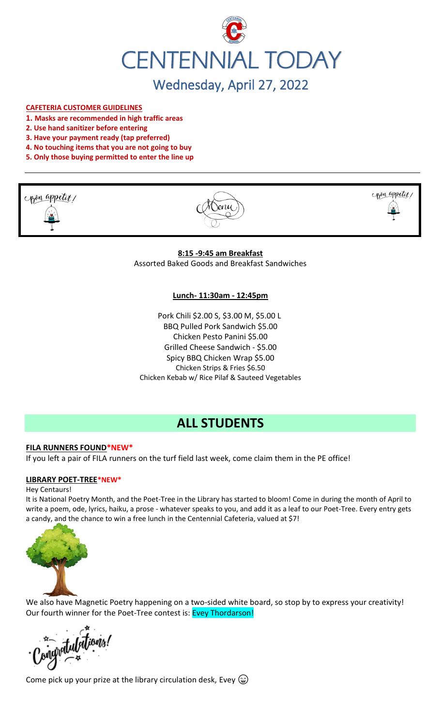

#### **CAFETERIA CUSTOMER GUIDELINES**

- **1. Masks are recommended in high traffic areas**
- **2. Use hand sanitizer before entering**
- **3. Have your payment ready (tap preferred)**
- **4. No touching items that you are not going to buy**
- **5. Only those buying permitted to enter the line up**







**8:15 -9:45 am Breakfast** Assorted Baked Goods and Breakfast Sandwiches

#### **Lunch- 11:30am - 12:45pm**

Pork Chili \$2.00 S, \$3.00 M, \$5.00 L BBQ Pulled Pork Sandwich \$5.00 Chicken Pesto Panini \$5.00 Grilled Cheese Sandwich - \$5.00 Spicy BBQ Chicken Wrap \$5.00 Chicken Strips & Fries \$6.50 Chicken Kebab w/ Rice Pilaf & Sauteed Vegetables

# **ALL STUDENTS**

# **FILA RUNNERS FOUND\*NEW\***

If you left a pair of FILA runners on the turf field last week, come claim them in the PE office!

#### **LIBRARY POET-TREE\*NEW\***

#### Hey Centaurs!

It is National Poetry Month, and the Poet-Tree in the Library has started to bloom! Come in during the month of April to write a poem, ode, lyrics, haiku, a prose - whatever speaks to you, and add it as a leaf to our Poet-Tree. Every entry gets a candy, and the chance to win a free lunch in the Centennial Cafeteria, valued at \$7!



We also have Magnetic Poetry happening on a two-sided white board, so stop by to express your creativity! Our fourth winner for the Poet-Tree contest is: Evey Thordarson!

anatulations!

Come pick up your prize at the library circulation desk, Evey  $\circledast$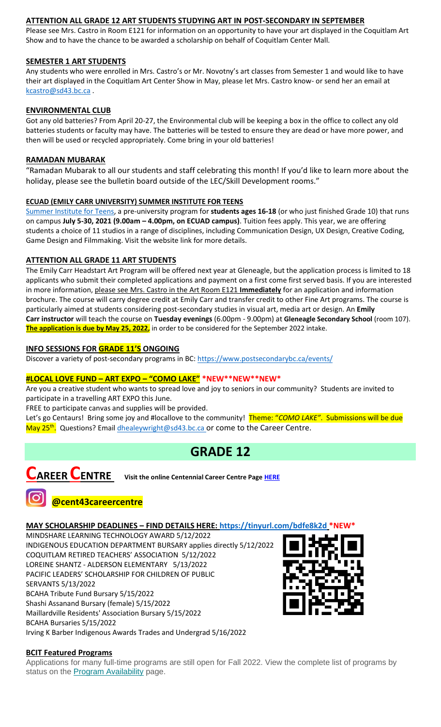# **ATTENTION ALL GRADE 12 ART STUDENTS STUDYING ART IN POST-SECONDARY IN SEPTEMBER**

Please see Mrs. Castro in Room E121 for information on an opportunity to have your art displayed in the Coquitlam Art Show and to have the chance to be awarded a scholarship on behalf of Coquitlam Center Mall.

# **SEMESTER 1 ART STUDENTS**

Any students who were enrolled in Mrs. Castro's or Mr. Novotny's art classes from Semester 1 and would like to have their art displayed in the Coquitlam Art Center Show in May, please let Mrs. Castro know- or send her an email at [kcastro@sd43.bc.ca](mailto:kcastro@sd43.bc.ca) .

#### **ENVIRONMENTAL CLUB**

Got any old batteries? From April 20-27, the Environmental club will be keeping a box in the office to collect any old batteries students or faculty may have. The batteries will be tested to ensure they are dead or have more power, and then will be used or recycled appropriately. Come bring in your old batteries!

## **RAMADAN MUBARAK**

"Ramadan Mubarak to all our students and staff celebrating this month! If you'd like to learn more about the holiday, please see the bulletin board outside of the LEC/Skill Development rooms."

#### **ECUAD (EMILY CARR UNIVERSITY) SUMMER INSTITUTE FOR TEENS**

[Summer Institute for Teens,](https://www.ecuad.ca/academics/teen-programs/summer-institute-for-teens) a pre-university program for **students ages 16-18** (or who just finished Grade 10) that runs on campus **July 5-30, 2021 (9.00am – 4.00pm, on ECUAD campus)**. Tuition fees apply. This year, we are offering students a choice of 11 studios in a range of disciplines, including Communication Design, UX Design, Creative Coding, Game Design and Filmmaking. Visit the website link for more details.

# **ATTENTION ALL GRADE 11 ART STUDENTS**

The Emily Carr Headstart Art Program will be offered next year at Gleneagle, but the application process is limited to 18 applicants who submit their completed applications and payment on a first come first served basis. If you are interested in more information, please see Mrs. Castro in the Art Room E121 **Immediately** for an application and information brochure. The course will carry degree credit at Emily Carr and transfer credit to other Fine Art programs. The course is particularly aimed at students considering post-secondary studies in visual art, media art or design. An **Emily Carr instructor** will teach the course on **Tuesday evenings** (6.00pm - 9.00pm) at **Gleneagle Secondary School** (room 107). **The application is due by May 25, 2022,** in order to be considered for the September 2022 intake.

#### **INFO SESSIONS FOR GRADE 11'S ONGOING**

Discover a variety of post-secondary programs in BC:<https://www.postsecondarybc.ca/events/>

# **#LOCAL LOVE FUND – ART EXPO – "COMO LAKE" \*NEW\*\*NEW\*\*NEW\***

Are you a creative student who wants to spread love and joy to seniors in our community? Students are invited to participate in a travelling ART EXPO this June.

FREE to participate canvas and supplies will be provided.

Let's go Centaurs! Bring some joy and #locallove to the community! Theme: "*COMO LAKE"*. Submissions will be due May 25<sup>th</sup>. Questions? Emai[l dhealeywright@sd43.bc.ca](mailto:dhealeywright@sd43.bc.ca) or come to the Career Centre.

# **GRADE 12**



**CAREER CENTRE Visit the online Centennial Career Centre Page [HERE](https://www.sd43.bc.ca/school/centennial/ProgramsServices/CareerCentre/experiences/Pages/default.aspx#/=)**

# **@cent43careercentre**

#### **MAY SCHOLARSHIP DEADLINES - FIND DETAILS HERE:<https://tinyurl.com/bdfe8k2d>**

MINDSHARE LEARNING TECHNOLOGY AWARD 5/12/2022 INDIGENOUS EDUCATION DEPARTMENT BURSARY applies directly 5/12/2022 COQUITLAM RETIRED TEACHERS' ASSOCIATION 5/12/2022 LOREINE SHANTZ - ALDERSON ELEMENTARY 5/13/2022 PACIFIC LEADERS' SCHOLARSHIP FOR CHILDREN OF PUBLIC SERVANTS 5/13/2022 BCAHA Tribute Fund Bursary 5/15/2022 Shashi Assanand Bursary (female) 5/15/2022 Maillardville Residents' Association Bursary 5/15/2022 BCAHA Bursaries 5/15/2022



# **BCIT Featured Programs**

Applications for many full-time programs are still open for Fall 2022. View the complete list of programs by status on the **[Program Availability](https://bcit.us8.list-manage.com/track/click?u=daf05330755626307efc8f07f&id=4d4ed36616&e=b29846f095)** page.

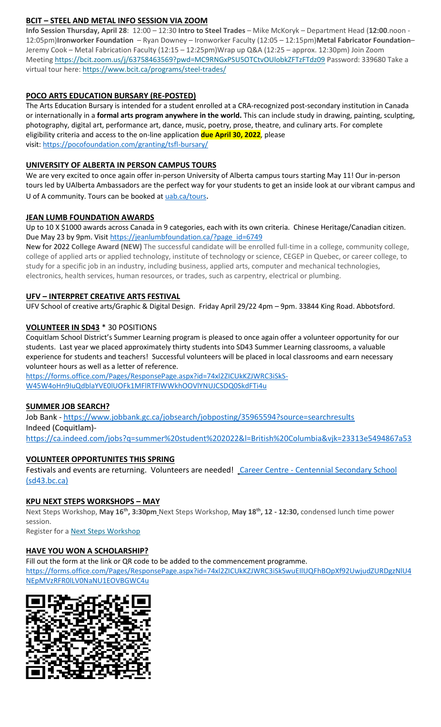# **BCIT – STEEL AND METAL INFO SESSION VIA ZOOM**

**Info Session Thursday, April 28**: 12:00 – 12:30 **Intro to Steel Trades** – Mike McKoryk – Department Head (**12:00**.noon - 12:05pm)**Ironworker Foundation** – Ryan Downey – Ironworker Faculty (12:05 – 12:15pm)**Metal Fabricator Foundation**– Jeremy Cook – Metal Fabrication Faculty (12:15 – 12:25pm)Wrap up Q&A (12:25 – approx. 12:30pm) Join Zoom Meeting <https://bcit.zoom.us/j/63758463569?pwd=MC9RNGxPSU5OTCtvOUlobkZFTzFTdz09> Password: 339680 Take a virtual tour here: <https://www.bcit.ca/programs/steel-trades/>

# **POCO ARTS EDUCATION BURSARY (RE-POSTED)**

The Arts Education Bursary is intended for a student enrolled at a CRA-recognized post-secondary institution in Canada or internationally in a **formal arts program anywhere in the world.** This can include study in drawing, painting, sculpting, photography, digital art, performance art, dance, music, poetry, prose, theatre, and culinary arts. For complete eligibility criteria and access to the on-line application **due April 30, 2022**, please visit: <https://pocofoundation.com/granting/tsfl-bursary/>

# **UNIVERSITY OF ALBERTA IN PERSON CAMPUS TOURS**

We are very excited to once again offer in-person University of Alberta campus tours starting May 11! Our in-person tours led by UAlberta Ambassadors are the perfect way for your students to get an inside look at our vibrant campus and U of A community. Tours can be booked at [uab.ca/tours](https://mx.technolutions.net/ss/c/gsby7xed_Q9kJKoUKuDGdBFBFhSssENYnEfiUuIzPCfFN0X3A85kPAIgyq7RiYgwd5ks3dapUcNxO2ND8vSVBYrkONj16vS1goC-KNmxqyzPGiP84ZPhBolxXehOVvJJoIydTyO79MzKzKWEvLKFkm_yV9EI63wdit-4TgQQwdxB7q-F7wKO6B1l7qPTTQqEY4-sfMYxk0jPxb8_vnjcU8J1KalNzAYWqvZsue4RhUs/3li/fiXawEMdS5CpVDRHZJ_kGA/h1/NOtRtynrGGfbhYYaY88O-aXOwt_ymLOenqdLtTeBrnQ).

# **JEAN LUMB FOUNDATION AWARDS**

Up to 10 X \$1000 awards across Canada in 9 categories, each with its own criteria. Chinese Heritage/Canadian citizen. Due May 23 by 9pm. Visi[t https://jeanlumbfoundation.ca/?page\\_id=6749](https://jeanlumbfoundation.ca/?page_id=6749)

New for 2022 **College Award (NEW)** The successful candidate will be enrolled full-time in a college, community college, college of applied arts or applied technology, institute of technology or science, CEGEP in Quebec, or career college, to study for a specific job in an industry, including business, applied arts, computer and mechanical technologies, electronics, health services, human resources, or trades, such as carpentry, electrical or plumbing.

# **UFV – INTERPRET CREATIVE ARTS FESTIVAL**

UFV School of creative arts/Graphic & Digital Design. Friday April 29/22 4pm – 9pm. 33844 King Road. Abbotsford.

# **VOLUNTEER IN SD43** \* 30 POSITIONS

Coquitlam School District's Summer Learning program is pleased to once again offer a volunteer opportunity for our students. Last year we placed approximately thirty students into SD43 Summer Learning classrooms, a valuable experience for students and teachers! Successful volunteers will be placed in local classrooms and earn necessary volunteer hours as well as a letter of reference.

[https://forms.office.com/Pages/ResponsePage.aspx?id=74xl2ZICUkKZJWRC3iSkS-](https://forms.office.com/Pages/ResponsePage.aspx?id=74xl2ZICUkKZJWRC3iSkS-W45W4oHn9IuQdblaYVE0lUOFk1MFlRTFlWWkhOOVlYNUJCSDQ0SkdFTi4u)[W45W4oHn9IuQdblaYVE0lUOFk1MFlRTFlWWkhOOVlYNUJCSDQ0SkdFTi4u](https://forms.office.com/Pages/ResponsePage.aspx?id=74xl2ZICUkKZJWRC3iSkS-W45W4oHn9IuQdblaYVE0lUOFk1MFlRTFlWWkhOOVlYNUJCSDQ0SkdFTi4u)

# **SUMMER JOB SEARCH?**

Job Bank - <https://www.jobbank.gc.ca/jobsearch/jobposting/35965594?source=searchresults> Indeed (Coquitlam) <https://ca.indeed.com/jobs?q=summer%20student%202022&l=British%20Columbia&vjk=23313e5494867a53>

# **VOLUNTEER OPPORTUNITES THIS SPRING**

Festivals and events are returning. Volunteers are needed! Career Centre - [Centennial Secondary School](https://www.sd43.bc.ca/school/centennial/ProgramsServices/CareerCentre/experiences/Pages/default.aspx#/=)  [\(sd43.bc.ca\)](https://www.sd43.bc.ca/school/centennial/ProgramsServices/CareerCentre/experiences/Pages/default.aspx#/=)

# **KPU NEXT STEPS WORKSHOPS – MAY**

Next Steps Workshop, **May 16th, 3:30pm** Next Steps Workshop, **May 18th, 12 - 12:30,** condensed lunch time power session.

Register for a **[Next Steps Workshop](http://crm-link.kpu.ca/c/7/eyJhaSI6MTY0ODQwMjEsImUiOiJkaGVhbGV5d3JpZ2h0QHNkNDMuYmMuY2EiLCJyaSI6ImNvbnRhY3QtNGZkMzgzYmJkZmY3ZWExMWE4MTUwMDBkM2EwYzhjNmQtZDI5MWU3MGZkMWYyNDJlYjk5OGU2OTFmYjc2ZGZmMjMiLCJycSI6IjAyLWIyMjEwMy0zOTg5OTViYTI1NGQ0NDE2YjBlMDQyODJkZjY3MTlhNiIsInBoIjpudWxsLCJtIjpmYWxzZSwidWkiOiIyIiwidW4iOiIiLCJ1IjoiaHR0cHM6Ly93d3cua3B1LmNhL2luZm8tc2Vzc2lvbnMvZnV0dXJlLXN0dWRlbnRzL25leHQtc3RlcHMvbWF5LTIwMjI_X2NsZGVlPVpNTFlTR1BPYXdvdUI0T0xzQnBsUHZFU0g1eUhvbnhCQlpuNFlnYzRINkV6V0ZWOVpLUWpKTmxic0hFM3RVQmImcmVjaXBpZW50aWQ9Y29udGFjdC00ZmQzODNiYmRmZjdlYTExYTgxNTAwMGQzYTBjOGM2ZC1kMjkxZTcwZmQxZjI0MmViOTk4ZTY5MWZiNzZkZmYyMyZlc2lkPTFkZmIzOThiLTRiYmItZWMxMS05ODNmLTAwMjI0ODNjYzE1YSJ9/SBu6RJHIXI6GRb2GoyGQMA)** 

# **HAVE YOU WON A SCHOLARSHIP?**

Fill out the form at the link or QR code to be added to the commencement programme. [https://forms.office.com/Pages/ResponsePage.aspx?id=74xl2ZICUkKZJWRC3iSkSwuEIlUQFhBOpXf92UwjudZURDgzNlU4](https://forms.office.com/Pages/ResponsePage.aspx?id=74xl2ZICUkKZJWRC3iSkSwuEIlUQFhBOpXf92UwjudZURDgzNlU4NEpMVzRFR0lLV0NaNU1EOVBGWC4u) [NEpMVzRFR0lLV0NaNU1EOVBGWC4u](https://forms.office.com/Pages/ResponsePage.aspx?id=74xl2ZICUkKZJWRC3iSkSwuEIlUQFhBOpXf92UwjudZURDgzNlU4NEpMVzRFR0lLV0NaNU1EOVBGWC4u)